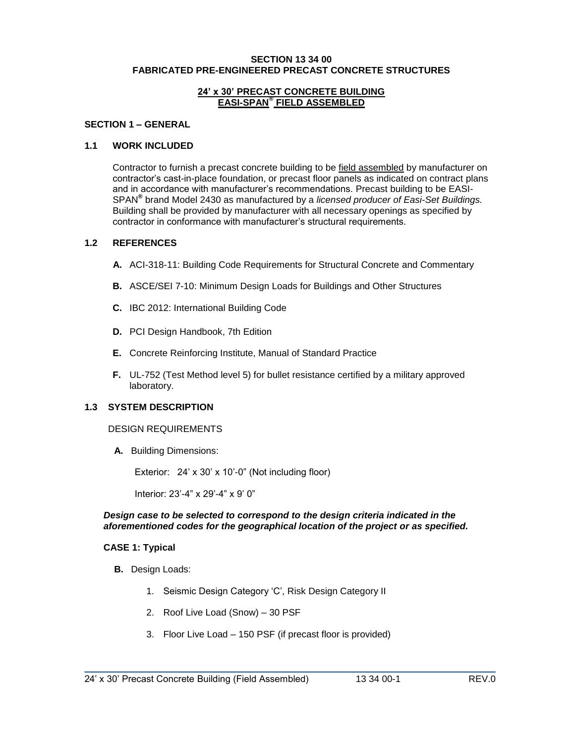#### **SECTION 13 34 00 FABRICATED PRE-ENGINEERED PRECAST CONCRETE STRUCTURES**

#### **24' x 30' PRECAST CONCRETE BUILDING EASI-SPAN® FIELD ASSEMBLED**

### **SECTION 1 – GENERAL**

#### **1.1 WORK INCLUDED**

Contractor to furnish a precast concrete building to be field assembled by manufacturer on contractor's cast-in-place foundation, or precast floor panels as indicated on contract plans and in accordance with manufacturer's recommendations. Precast building to be EASI-SPAN**®** brand Model 2430 as manufactured by a *licensed producer of Easi-Set Buildings.* Building shall be provided by manufacturer with all necessary openings as specified by contractor in conformance with manufacturer's structural requirements.

#### **1.2 REFERENCES**

- **A.** ACI-318-11: Building Code Requirements for Structural Concrete and Commentary
- **B.** ASCE/SEI 7-10: Minimum Design Loads for Buildings and Other Structures
- **C.** IBC 2012: International Building Code
- **D.** PCI Design Handbook, 7th Edition
- **E.** Concrete Reinforcing Institute, Manual of Standard Practice
- **F.** UL-752 (Test Method level 5) for bullet resistance certified by a military approved laboratory.

## **1.3 SYSTEM DESCRIPTION**

#### DESIGN REQUIREMENTS

**A.** Building Dimensions:

Exterior: 24' x 30' x 10'-0" (Not including floor)

Interior: 23'-4" x 29'-4" x 9' 0"

#### *Design case to be selected to correspond to the design criteria indicated in the aforementioned codes for the geographical location of the project or as specified.*

### **CASE 1: Typical**

- **B.** Design Loads:
	- 1. Seismic Design Category 'C', Risk Design Category II
	- 2. Roof Live Load (Snow) 30 PSF
	- 3. Floor Live Load 150 PSF (if precast floor is provided)

\_\_\_\_\_\_\_\_\_\_\_\_\_\_\_\_\_\_\_\_\_\_\_\_\_\_\_\_\_\_\_\_\_\_\_\_\_\_\_\_\_\_\_\_\_\_\_\_\_\_\_\_\_\_\_\_\_\_\_\_\_\_\_\_\_\_\_\_\_\_\_\_\_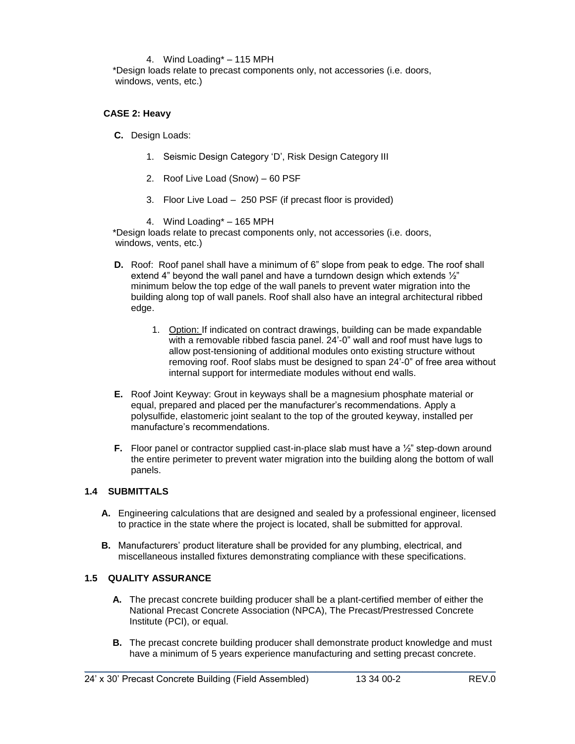#### 4. Wind Loading\* – 115 MPH

\*Design loads relate to precast components only, not accessories (i.e. doors, windows, vents, etc.)

### **CASE 2: Heavy**

- **C.** Design Loads:
	- 1. Seismic Design Category 'D', Risk Design Category III
	- 2. Roof Live Load (Snow) 60 PSF
	- 3. Floor Live Load 250 PSF (if precast floor is provided)

4. Wind Loading\* – 165 MPH

\*Design loads relate to precast components only, not accessories (i.e. doors, windows, vents, etc.)

- **D.** Roof: Roof panel shall have a minimum of 6" slope from peak to edge. The roof shall extend 4" beyond the wall panel and have a turndown design which extends ½" minimum below the top edge of the wall panels to prevent water migration into the building along top of wall panels. Roof shall also have an integral architectural ribbed edge.
	- 1. Option: If indicated on contract drawings, building can be made expandable with a removable ribbed fascia panel. 24'-0" wall and roof must have lugs to allow post-tensioning of additional modules onto existing structure without removing roof. Roof slabs must be designed to span 24'-0" of free area without internal support for intermediate modules without end walls.
- **E.** Roof Joint Keyway: Grout in keyways shall be a magnesium phosphate material or equal, prepared and placed per the manufacturer's recommendations. Apply a polysulfide, elastomeric joint sealant to the top of the grouted keyway, installed per manufacture's recommendations.
- **F.** Floor panel or contractor supplied cast-in-place slab must have a  $\frac{1}{2}$ " step-down around the entire perimeter to prevent water migration into the building along the bottom of wall panels.

### **1.4 SUBMITTALS**

- **A.** Engineering calculations that are designed and sealed by a professional engineer, licensed to practice in the state where the project is located, shall be submitted for approval.
- **B.** Manufacturers' product literature shall be provided for any plumbing, electrical, and miscellaneous installed fixtures demonstrating compliance with these specifications.

### **1.5 QUALITY ASSURANCE**

- **A.** The precast concrete building producer shall be a plant-certified member of either the National Precast Concrete Association (NPCA), The Precast/Prestressed Concrete Institute (PCI), or equal.
- **B.** The precast concrete building producer shall demonstrate product knowledge and must have a minimum of 5 years experience manufacturing and setting precast concrete.

\_\_\_\_\_\_\_\_\_\_\_\_\_\_\_\_\_\_\_\_\_\_\_\_\_\_\_\_\_\_\_\_\_\_\_\_\_\_\_\_\_\_\_\_\_\_\_\_\_\_\_\_\_\_\_\_\_\_\_\_\_\_\_\_\_\_\_\_\_\_\_\_\_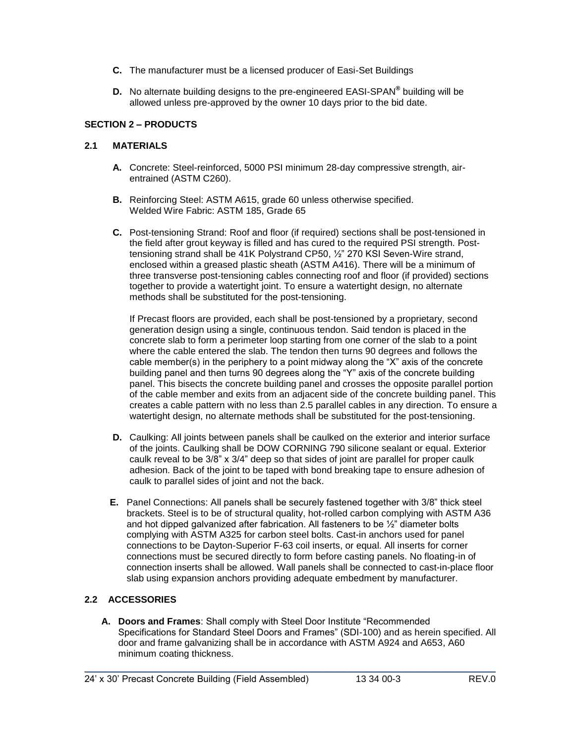- **C.** The manufacturer must be a licensed producer of Easi-Set Buildings
- **D.** No alternate building designs to the pre-engineered EASI-SPAN**®** building will be allowed unless pre-approved by the owner 10 days prior to the bid date.

# **SECTION 2 – PRODUCTS**

## **2.1 MATERIALS**

- **A.** Concrete: Steel-reinforced, 5000 PSI minimum 28-day compressive strength, airentrained (ASTM C260).
- **B.** Reinforcing Steel: ASTM A615, grade 60 unless otherwise specified. Welded Wire Fabric: ASTM 185, Grade 65
- **C.** Post-tensioning Strand: Roof and floor (if required) sections shall be post-tensioned in the field after grout keyway is filled and has cured to the required PSI strength. Posttensioning strand shall be 41K Polystrand CP50, ½" 270 KSI Seven-Wire strand, enclosed within a greased plastic sheath (ASTM A416). There will be a minimum of three transverse post-tensioning cables connecting roof and floor (if provided) sections together to provide a watertight joint. To ensure a watertight design, no alternate methods shall be substituted for the post-tensioning.

If Precast floors are provided, each shall be post-tensioned by a proprietary, second generation design using a single, continuous tendon. Said tendon is placed in the concrete slab to form a perimeter loop starting from one corner of the slab to a point where the cable entered the slab. The tendon then turns 90 degrees and follows the cable member(s) in the periphery to a point midway along the "X" axis of the concrete building panel and then turns 90 degrees along the "Y" axis of the concrete building panel. This bisects the concrete building panel and crosses the opposite parallel portion of the cable member and exits from an adjacent side of the concrete building panel. This creates a cable pattern with no less than 2.5 parallel cables in any direction. To ensure a watertight design, no alternate methods shall be substituted for the post-tensioning.

- **D.** Caulking: All joints between panels shall be caulked on the exterior and interior surface of the joints. Caulking shall be DOW CORNING 790 silicone sealant or equal. Exterior caulk reveal to be 3/8" x 3/4" deep so that sides of joint are parallel for proper caulk adhesion. Back of the joint to be taped with bond breaking tape to ensure adhesion of caulk to parallel sides of joint and not the back.
- **E.** Panel Connections: All panels shall be securely fastened together with 3/8" thick steel brackets. Steel is to be of structural quality, hot-rolled carbon complying with ASTM A36 and hot dipped galvanized after fabrication. All fasteners to be ½" diameter bolts complying with ASTM A325 for carbon steel bolts. Cast-in anchors used for panel connections to be Dayton-Superior F-63 coil inserts, or equal. All inserts for corner connections must be secured directly to form before casting panels. No floating-in of connection inserts shall be allowed. Wall panels shall be connected to cast-in-place floor slab using expansion anchors providing adequate embedment by manufacturer.

# **2.2 ACCESSORIES**

**A. Doors and Frames**: Shall comply with Steel Door Institute "Recommended Specifications for Standard Steel Doors and Frames" (SDI-100) and as herein specified. All door and frame galvanizing shall be in accordance with ASTM A924 and A653, A60 minimum coating thickness.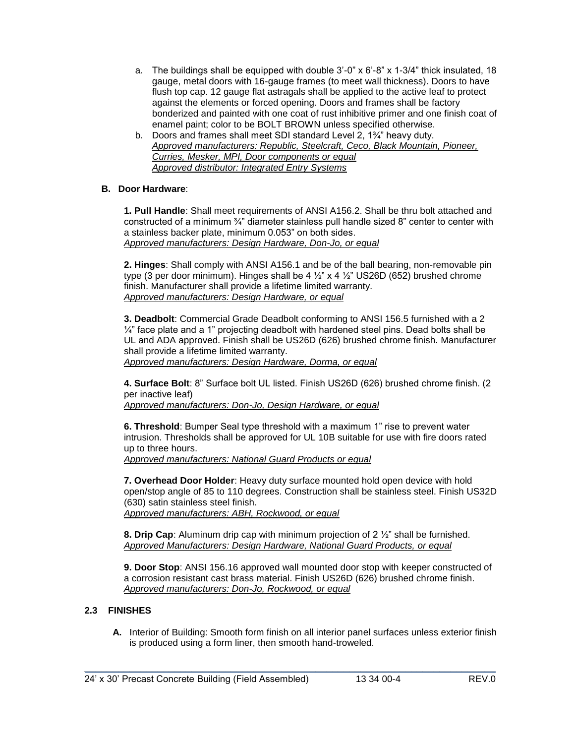- a. The buildings shall be equipped with double  $3'$ -0" x  $6'$ -8" x  $1-3/4$ " thick insulated, 18 gauge, metal doors with 16-gauge frames (to meet wall thickness). Doors to have flush top cap. 12 gauge flat astragals shall be applied to the active leaf to protect against the elements or forced opening. Doors and frames shall be factory bonderized and painted with one coat of rust inhibitive primer and one finish coat of enamel paint; color to be BOLT BROWN unless specified otherwise.
- b. Doors and frames shall meet SDI standard Level 2, 1¾" heavy duty. *Approved manufacturers: Republic, Steelcraft, Ceco, Black Mountain, Pioneer, Curries, Mesker, MPI, Door components or equal Approved distributor: Integrated Entry Systems*

## **B. Door Hardware**:

**1. Pull Handle**: Shall meet requirements of ANSI A156.2. Shall be thru bolt attached and constructed of a minimum ¾" diameter stainless pull handle sized 8" center to center with a stainless backer plate, minimum 0.053" on both sides. *Approved manufacturers: Design Hardware, Don-Jo, or equal*

**2. Hinges**: Shall comply with ANSI A156.1 and be of the ball bearing, non-removable pin type (3 per door minimum). Hinges shall be 4  $\frac{1}{2}$  x 4  $\frac{1}{2}$  US26D (652) brushed chrome finish. Manufacturer shall provide a lifetime limited warranty. *Approved manufacturers: Design Hardware, or equal*

**3. Deadbolt**: Commercial Grade Deadbolt conforming to ANSI 156.5 furnished with a 2  $\frac{1}{4}$ " face plate and a 1" projecting deadbolt with hardened steel pins. Dead bolts shall be UL and ADA approved. Finish shall be US26D (626) brushed chrome finish. Manufacturer shall provide a lifetime limited warranty.

*Approved manufacturers: Design Hardware, Dorma, or equal*

**4. Surface Bolt**: 8" Surface bolt UL listed. Finish US26D (626) brushed chrome finish. (2 per inactive leaf)

*Approved manufacturers: Don-Jo, Design Hardware, or equal*

**6. Threshold**: Bumper Seal type threshold with a maximum 1" rise to prevent water intrusion. Thresholds shall be approved for UL 10B suitable for use with fire doors rated up to three hours.

*Approved manufacturers: National Guard Products or equal* 

**7. Overhead Door Holder**: Heavy duty surface mounted hold open device with hold open/stop angle of 85 to 110 degrees. Construction shall be stainless steel. Finish US32D (630) satin stainless steel finish. *Approved manufacturers: ABH, Rockwood, or equal*

**8. Drip Cap**: Aluminum drip cap with minimum projection of 2 ½" shall be furnished. *Approved Manufacturers: Design Hardware, National Guard Products, or equal*

**9. Door Stop**: ANSI 156.16 approved wall mounted door stop with keeper constructed of a corrosion resistant cast brass material. Finish US26D (626) brushed chrome finish. *Approved manufacturers: Don-Jo, Rockwood, or equal*

## **2.3 FINISHES**

**A.** Interior of Building: Smooth form finish on all interior panel surfaces unless exterior finish is produced using a form liner, then smooth hand-troweled.

\_\_\_\_\_\_\_\_\_\_\_\_\_\_\_\_\_\_\_\_\_\_\_\_\_\_\_\_\_\_\_\_\_\_\_\_\_\_\_\_\_\_\_\_\_\_\_\_\_\_\_\_\_\_\_\_\_\_\_\_\_\_\_\_\_\_\_\_\_\_\_\_\_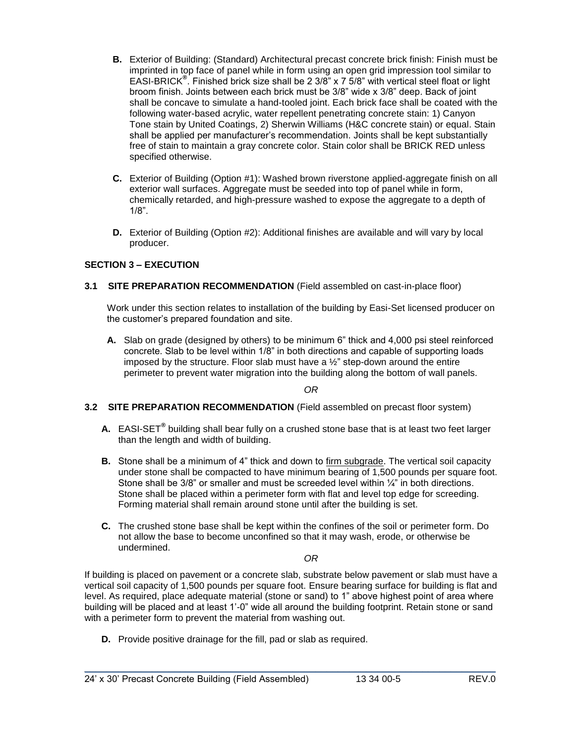- **B.** Exterior of Building: (Standard) Architectural precast concrete brick finish: Finish must be imprinted in top face of panel while in form using an open grid impression tool similar to EASI-BRICK**®** . Finished brick size shall be 2 3/8" x 7 5/8" with vertical steel float or light broom finish. Joints between each brick must be 3/8" wide x 3/8" deep. Back of joint shall be concave to simulate a hand-tooled joint. Each brick face shall be coated with the following water-based acrylic, water repellent penetrating concrete stain: 1) Canyon Tone stain by United Coatings, 2) Sherwin Williams (H&C concrete stain) or equal. Stain shall be applied per manufacturer's recommendation. Joints shall be kept substantially free of stain to maintain a gray concrete color. Stain color shall be BRICK RED unless specified otherwise.
- **C.** Exterior of Building (Option #1): Washed brown riverstone applied-aggregate finish on all exterior wall surfaces. Aggregate must be seeded into top of panel while in form, chemically retarded, and high-pressure washed to expose the aggregate to a depth of 1/8".
- **D.** Exterior of Building (Option #2): Additional finishes are available and will vary by local producer.

## **SECTION 3 – EXECUTION**

**3.1 SITE PREPARATION RECOMMENDATION** (Field assembled on cast-in-place floor)

Work under this section relates to installation of the building by Easi-Set licensed producer on the customer's prepared foundation and site.

**A.** Slab on grade (designed by others) to be minimum 6" thick and 4,000 psi steel reinforced concrete. Slab to be level within 1/8" in both directions and capable of supporting loads imposed by the structure. Floor slab must have a ½" step-down around the entire perimeter to prevent water migration into the building along the bottom of wall panels.

*OR*

### **3.2 SITE PREPARATION RECOMMENDATION** (Field assembled on precast floor system)

- **A.** EASI-SET**®** building shall bear fully on a crushed stone base that is at least two feet larger than the length and width of building.
- **B.** Stone shall be a minimum of 4" thick and down to firm subgrade. The vertical soil capacity under stone shall be compacted to have minimum bearing of 1,500 pounds per square foot. Stone shall be  $3/8$ " or smaller and must be screeded level within  $\frac{1}{4}$ " in both directions. Stone shall be placed within a perimeter form with flat and level top edge for screeding. Forming material shall remain around stone until after the building is set.
- **C.** The crushed stone base shall be kept within the confines of the soil or perimeter form. Do not allow the base to become unconfined so that it may wash, erode, or otherwise be undermined.

*OR*

If building is placed on pavement or a concrete slab, substrate below pavement or slab must have a vertical soil capacity of 1,500 pounds per square foot. Ensure bearing surface for building is flat and level. As required, place adequate material (stone or sand) to 1" above highest point of area where building will be placed and at least 1'-0" wide all around the building footprint. Retain stone or sand with a perimeter form to prevent the material from washing out.

\_\_\_\_\_\_\_\_\_\_\_\_\_\_\_\_\_\_\_\_\_\_\_\_\_\_\_\_\_\_\_\_\_\_\_\_\_\_\_\_\_\_\_\_\_\_\_\_\_\_\_\_\_\_\_\_\_\_\_\_\_\_\_\_\_\_\_\_\_\_\_\_\_

**D.** Provide positive drainage for the fill, pad or slab as required.